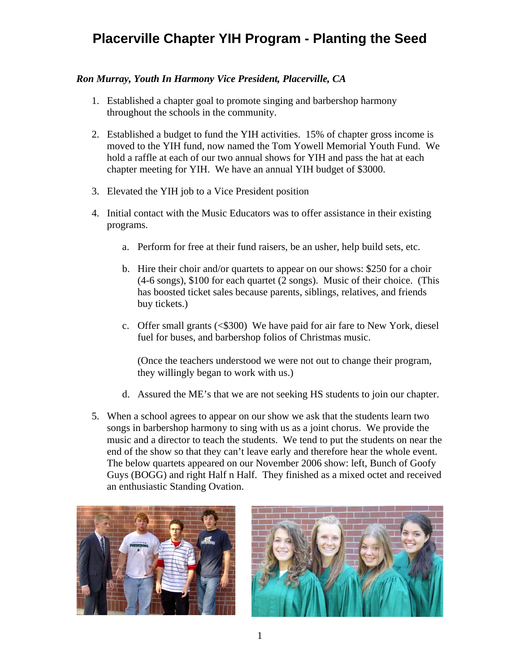# **Placerville Chapter YIH Program - Planting the Seed**

#### *Ron Murray, Youth In Harmony Vice President, Placerville, CA*

- 1. Established a chapter goal to promote singing and barbershop harmony throughout the schools in the community.
- 2. Established a budget to fund the YIH activities. 15% of chapter gross income is moved to the YIH fund, now named the Tom Yowell Memorial Youth Fund. We hold a raffle at each of our two annual shows for YIH and pass the hat at each chapter meeting for YIH. We have an annual YIH budget of \$3000.
- 3. Elevated the YIH job to a Vice President position
- 4. Initial contact with the Music Educators was to offer assistance in their existing programs.
	- a. Perform for free at their fund raisers, be an usher, help build sets, etc.
	- b. Hire their choir and/or quartets to appear on our shows: \$250 for a choir (4-6 songs), \$100 for each quartet (2 songs). Music of their choice. (This has boosted ticket sales because parents, siblings, relatives, and friends buy tickets.)
	- c. Offer small grants (<\$300) We have paid for air fare to New York, diesel fuel for buses, and barbershop folios of Christmas music.

(Once the teachers understood we were not out to change their program, they willingly began to work with us.)

- d. Assured the ME's that we are not seeking HS students to join our chapter.
- 5. When a school agrees to appear on our show we ask that the students learn two songs in barbershop harmony to sing with us as a joint chorus. We provide the music and a director to teach the students. We tend to put the students on near the end of the show so that they can't leave early and therefore hear the whole event. The below quartets appeared on our November 2006 show: left, Bunch of Goofy Guys (BOGG) and right Half n Half. They finished as a mixed octet and received an enthusiastic Standing Ovation.



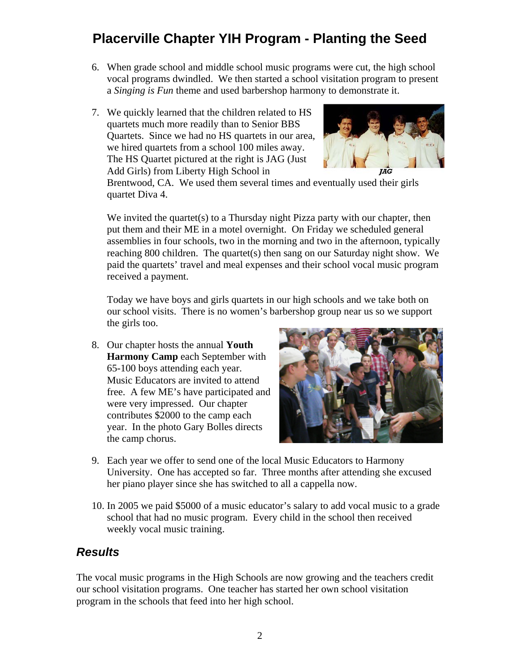# **Placerville Chapter YIH Program - Planting the Seed**

- 6. When grade school and middle school music programs were cut, the high school vocal programs dwindled. We then started a school visitation program to present a *Singing is Fun* theme and used barbershop harmony to demonstrate it.
- 7. We quickly learned that the children related to HS quartets much more readily than to Senior BBS Quartets. Since we had no HS quartets in our area, we hired quartets from a school 100 miles away. The HS Quartet pictured at the right is JAG (Just Add Girls) from Liberty High School in



Brentwood, CA. We used them several times and eventually used their girls quartet Diva 4.

We invited the quartet(s) to a Thursday night Pizza party with our chapter, then put them and their ME in a motel overnight. On Friday we scheduled general assemblies in four schools, two in the morning and two in the afternoon, typically reaching 800 children. The quartet(s) then sang on our Saturday night show. We paid the quartets' travel and meal expenses and their school vocal music program received a payment.

Today we have boys and girls quartets in our high schools and we take both on our school visits. There is no women's barbershop group near us so we support the girls too.

8. Our chapter hosts the annual **Youth Harmony Camp** each September with 65-100 boys attending each year. Music Educators are invited to attend free. A few ME's have participated and were very impressed. Our chapter contributes \$2000 to the camp each year. In the photo Gary Bolles directs the camp chorus.



- 9. Each year we offer to send one of the local Music Educators to Harmony University. One has accepted so far. Three months after attending she excused her piano player since she has switched to all a cappella now.
- 10. In 2005 we paid \$5000 of a music educator's salary to add vocal music to a grade school that had no music program. Every child in the school then received weekly vocal music training.

### *Results*

The vocal music programs in the High Schools are now growing and the teachers credit our school visitation programs. One teacher has started her own school visitation program in the schools that feed into her high school.